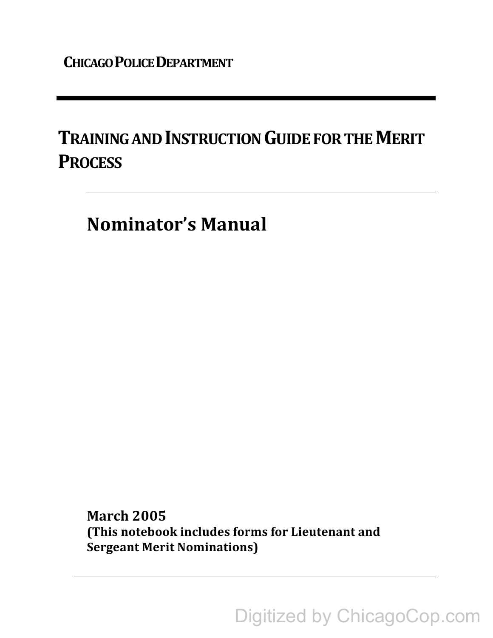# **TRAINING AND INSTRUCTION GUIDE FOR THE MERIT PROCESS**

**Nominator's Manual** 

**March 2005** (This notebook includes forms for Lieutenant and **Sergeant Merit Nominations)** 

Digitized by ChicagoCop.com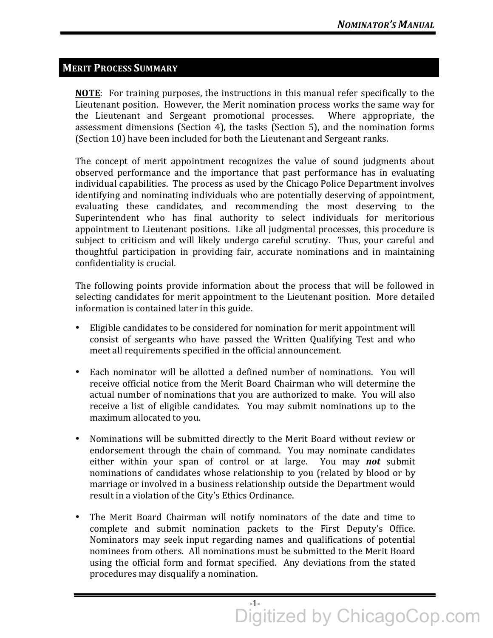# **MERIT PROCESS SUMMARY**

**NOTE:** For training purposes, the instructions in this manual refer specifically to the Lieutenant position. However, the Merit nomination process works the same way for the Lieutenant and Sergeant promotional processes. Where appropriate, the assessment dimensions (Section 4), the tasks (Section 5), and the nomination forms (Section 10) have been included for both the Lieutenant and Sergeant ranks.

The concept of merit appointment recognizes the value of sound judgments about observed performance and the importance that past performance has in evaluating individual capabilities. The process as used by the Chicago Police Department involves identifying and nominating individuals who are potentially deserving of appointment, evaluating these candidates, and recommending the most deserving to the Superintendent who has final authority to select individuals for meritorious appointment to Lieutenant positions. Like all judgmental processes, this procedure is subject to criticism and will likely undergo careful scrutiny. Thus, your careful and thoughtful participation in providing fair, accurate nominations and in maintaining confidentiality is crucial.

The following points provide information about the process that will be followed in selecting candidates for merit appointment to the Lieutenant position. More detailed information is contained later in this guide.

- Eligible candidates to be considered for nomination for merit appointment will consist of sergeants who have passed the Written Qualifying Test and who meet all requirements specified in the official announcement.
- Each nominator will be allotted a defined number of nominations. You will receive official notice from the Merit Board Chairman who will determine the actual number of nominations that you are authorized to make. You will also receive a list of eligible candidates. You may submit nominations up to the maximum allocated to you.
- Nominations will be submitted directly to the Merit Board without review or endorsement through the chain of command. You may nominate candidates either within your span of control or at large. You may *not* submit nominations of candidates whose relationship to you (related by blood or by marriage or involved in a business relationship outside the Department would result in a violation of the City's Ethics Ordinance.
- The Merit Board Chairman will notify nominators of the date and time to complete and submit nomination packets to the First Deputy's Office. Nominators may seek input regarding names and qualifications of potential nominees from others. All nominations must be submitted to the Merit Board using the official form and format specified. Any deviations from the stated procedures may disqualify a nomination.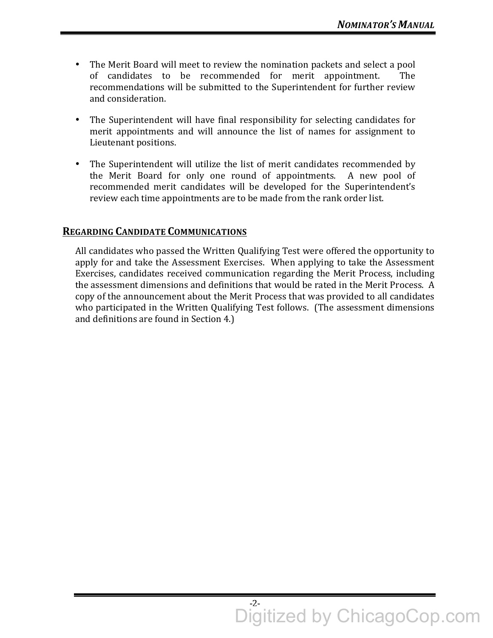- The Merit Board will meet to review the nomination packets and select a pool of candidates to be recommended for merit appointment. The recommendations will be submitted to the Superintendent for further review and consideration.
- The Superintendent will have final responsibility for selecting candidates for merit appointments and will announce the list of names for assignment to Lieutenant positions.
- The Superintendent will utilize the list of merit candidates recommended by the Merit Board for only one round of appointments. A new pool of recommended merit candidates will be developed for the Superintendent's review each time appointments are to be made from the rank order list.

# **REGARDING CANDIDATE COMMUNICATIONS**

All candidates who passed the Written Qualifying Test were offered the opportunity to apply for and take the Assessment Exercises. When applying to take the Assessment Exercises, candidates received communication regarding the Merit Process, including the assessment dimensions and definitions that would be rated in the Merit Process. A copy of the announcement about the Merit Process that was provided to all candidates who participated in the Written Qualifying Test follows. (The assessment dimensions and definitions are found in Section 4.)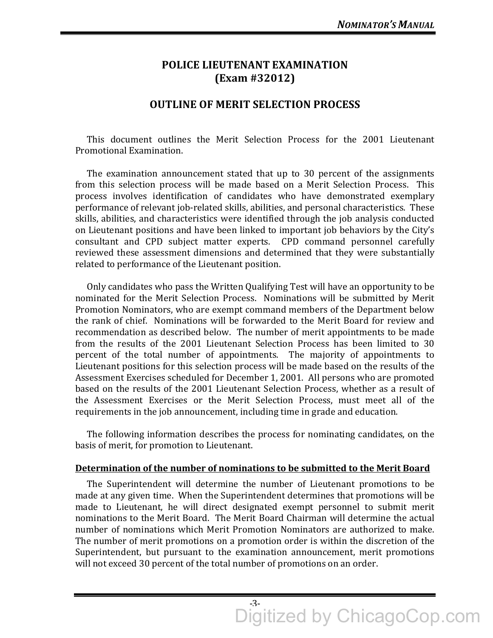# **POLICE LIEUTENANT EXAMINATION (Exam #32012)**

## **OUTLINE OF MERIT SELECTION PROCESS**

This document outlines the Merit Selection Process for the 2001 Lieutenant Promotional Examination.

The examination announcement stated that up to 30 percent of the assignments from this selection process will be made based on a Merit Selection Process. This process involves identification of candidates who have demonstrated exemplary performance of relevant job-related skills, abilities, and personal characteristics. These skills, abilities, and characteristics were identified through the job analysis conducted on Lieutenant positions and have been linked to important job behaviors by the City's consultant and CPD subject matter experts. CPD command personnel carefully reviewed these assessment dimensions and determined that they were substantially related to performance of the Lieutenant position.

Only candidates who pass the Written Qualifying Test will have an opportunity to be nominated for the Merit Selection Process. Nominations will be submitted by Merit Promotion Nominators, who are exempt command members of the Department below the rank of chief. Nominations will be forwarded to the Merit Board for review and recommendation as described below. The number of merit appointments to be made from the results of the 2001 Lieutenant Selection Process has been limited to 30 percent of the total number of appointments. The majority of appointments to Lieutenant positions for this selection process will be made based on the results of the Assessment Exercises scheduled for December 1, 2001. All persons who are promoted based on the results of the 2001 Lieutenant Selection Process, whether as a result of the Assessment Exercises or the Merit Selection Process, must meet all of the requirements in the job announcement, including time in grade and education.

The following information describes the process for nominating candidates, on the basis of merit, for promotion to Lieutenant.

#### **Determination of the number of nominations to be submitted to the Merit Board**

The Superintendent will determine the number of Lieutenant promotions to be made at any given time. When the Superintendent determines that promotions will be made to Lieutenant, he will direct designated exempt personnel to submit merit nominations to the Merit Board. The Merit Board Chairman will determine the actual number of nominations which Merit Promotion Nominators are authorized to make. The number of merit promotions on a promotion order is within the discretion of the Superintendent, but pursuant to the examination announcement, merit promotions will not exceed 30 percent of the total number of promotions on an order.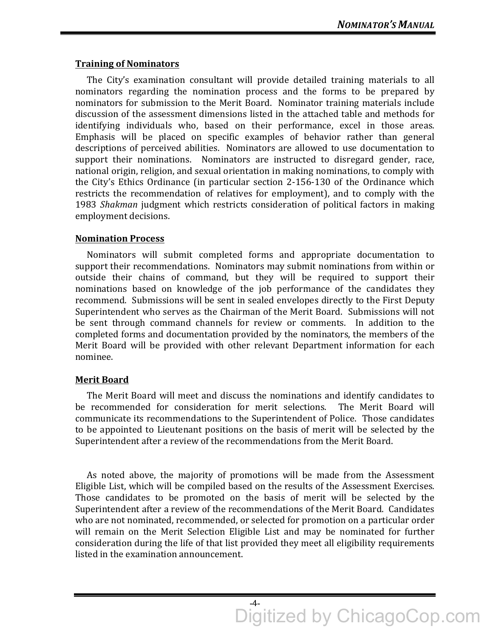#### **Training of Nominators**

The City's examination consultant will provide detailed training materials to all nominators regarding the nomination process and the forms to be prepared by nominators for submission to the Merit Board. Nominator training materials include discussion of the assessment dimensions listed in the attached table and methods for identifying individuals who, based on their performance, excel in those areas. Emphasis will be placed on specific examples of behavior rather than general descriptions of perceived abilities. Nominators are allowed to use documentation to support their nominations. Nominators are instructed to disregard gender, race, national origin, religion, and sexual orientation in making nominations, to comply with the City's Ethics Ordinance (in particular section 2-156-130 of the Ordinance which restricts the recommendation of relatives for employment), and to comply with the 1983 *Shakman* judgment which restricts consideration of political factors in making employment decisions.

#### **Nomination Process**

Nominators will submit completed forms and appropriate documentation to support their recommendations. Nominators may submit nominations from within or outside their chains of command, but they will be required to support their nominations based on knowledge of the job performance of the candidates they recommend. Submissions will be sent in sealed envelopes directly to the First Deputy Superintendent who serves as the Chairman of the Merit Board. Submissions will not be sent through command channels for review or comments. In addition to the completed forms and documentation provided by the nominators, the members of the Merit Board will be provided with other relevant Department information for each nominee. 

#### **Merit Board**

The Merit Board will meet and discuss the nominations and identify candidates to be recommended for consideration for merit selections. The Merit Board will communicate its recommendations to the Superintendent of Police. Those candidates to be appointed to Lieutenant positions on the basis of merit will be selected by the Superintendent after a review of the recommendations from the Merit Board.

As noted above, the majority of promotions will be made from the Assessment Eligible List, which will be compiled based on the results of the Assessment Exercises. Those candidates to be promoted on the basis of merit will be selected by the Superintendent after a review of the recommendations of the Merit Board. Candidates who are not nominated, recommended, or selected for promotion on a particular order will remain on the Merit Selection Eligible List and may be nominated for further consideration during the life of that list provided they meet all eligibility requirements listed in the examination announcement.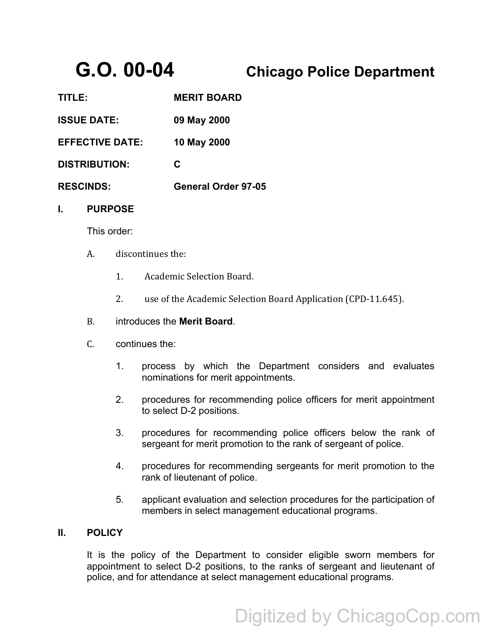# **G.O. 00-04 Chicago Police Department**

| 1111 E 1               | <b>MERII BOARD</b>         |
|------------------------|----------------------------|
| <b>ISSUE DATE:</b>     | 09 May 2000                |
| <b>EFFECTIVE DATE:</b> | 10 May 2000                |
| <b>DISTRIBUTION:</b>   | C                          |
| <b>RESCINDS:</b>       | <b>General Order 97-05</b> |
|                        |                            |

**TITLE: MERIT BOARD** 

#### **I. PURPOSE**

This order:

- A. discontinues the:
	- 1. Academic Selection Board.
	- 2. use of the Academic Selection Board Application (CPD-11.645).
- B. introduces the **Merit Board**.
- C. continues the:
	- 1. process by which the Department considers and evaluates nominations for merit appointments.
	- 2. procedures for recommending police officers for merit appointment to select D-2 positions.
	- 3. procedures for recommending police officers below the rank of sergeant for merit promotion to the rank of sergeant of police.
	- 4. procedures for recommending sergeants for merit promotion to the rank of lieutenant of police.
	- 5. applicant evaluation and selection procedures for the participation of members in select management educational programs.

#### **II. POLICY**

It is the policy of the Department to consider eligible sworn members for appointment to select D-2 positions, to the ranks of sergeant and lieutenant of police, and for attendance at select management educational programs.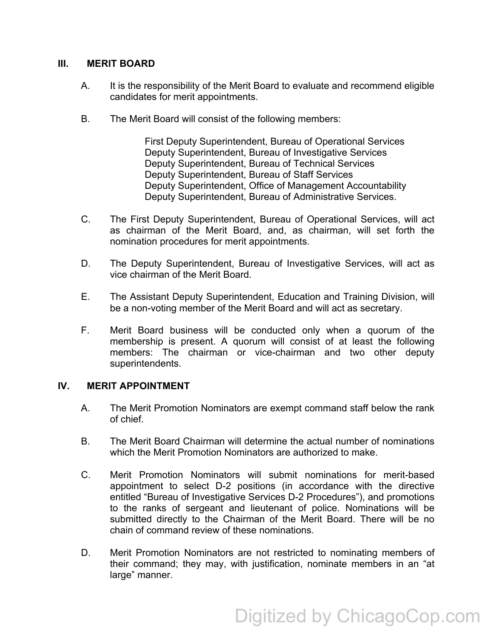#### **III. MERIT BOARD**

- A. It is the responsibility of the Merit Board to evaluate and recommend eligible candidates for merit appointments.
- B. The Merit Board will consist of the following members:

First Deputy Superintendent, Bureau of Operational Services Deputy Superintendent, Bureau of Investigative Services Deputy Superintendent, Bureau of Technical Services Deputy Superintendent, Bureau of Staff Services Deputy Superintendent, Office of Management Accountability Deputy Superintendent, Bureau of Administrative Services.

- C. The First Deputy Superintendent, Bureau of Operational Services, will act as chairman of the Merit Board, and, as chairman, will set forth the nomination procedures for merit appointments.
- D. The Deputy Superintendent, Bureau of Investigative Services, will act as vice chairman of the Merit Board.
- E. The Assistant Deputy Superintendent, Education and Training Division, will be a non-voting member of the Merit Board and will act as secretary.
- F. Merit Board business will be conducted only when a quorum of the membership is present. A quorum will consist of at least the following members: The chairman or vice-chairman and two other deputy superintendents.

#### **IV. MERIT APPOINTMENT**

- A. The Merit Promotion Nominators are exempt command staff below the rank of chief.
- B. The Merit Board Chairman will determine the actual number of nominations which the Merit Promotion Nominators are authorized to make.
- C. Merit Promotion Nominators will submit nominations for merit-based appointment to select D-2 positions (in accordance with the directive entitled "Bureau of Investigative Services D-2 Procedures"), and promotions to the ranks of sergeant and lieutenant of police. Nominations will be submitted directly to the Chairman of the Merit Board. There will be no chain of command review of these nominations.
- D. Merit Promotion Nominators are not restricted to nominating members of their command; they may, with justification, nominate members in an "at large" manner.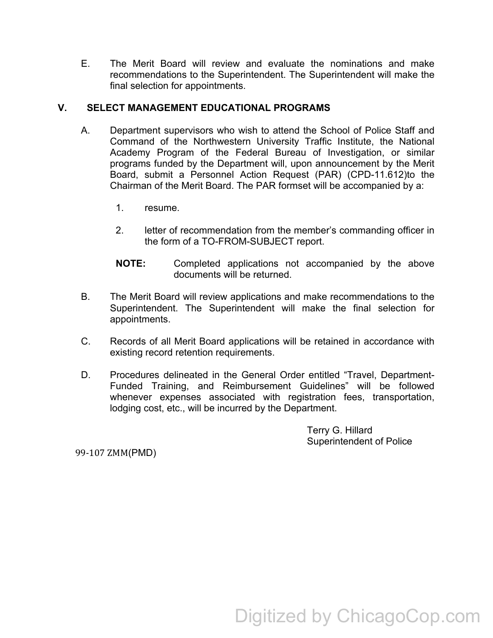E. The Merit Board will review and evaluate the nominations and make recommendations to the Superintendent. The Superintendent will make the final selection for appointments.

## **V. SELECT MANAGEMENT EDUCATIONAL PROGRAMS**

- A. Department supervisors who wish to attend the School of Police Staff and Command of the Northwestern University Traffic Institute, the National Academy Program of the Federal Bureau of Investigation, or similar programs funded by the Department will, upon announcement by the Merit Board, submit a Personnel Action Request (PAR) (CPD-11.612)to the Chairman of the Merit Board. The PAR formset will be accompanied by a:
	- 1. resume.
	- 2. letter of recommendation from the member's commanding officer in the form of a TO-FROM-SUBJECT report.
	- **NOTE:** Completed applications not accompanied by the above documents will be returned.
- B. The Merit Board will review applications and make recommendations to the Superintendent. The Superintendent will make the final selection for appointments.
- C. Records of all Merit Board applications will be retained in accordance with existing record retention requirements.
- D. Procedures delineated in the General Order entitled "Travel, Department-Funded Training, and Reimbursement Guidelines" will be followed whenever expenses associated with registration fees, transportation, lodging cost, etc., will be incurred by the Department.

Terry G. Hillard Superintendent of Police

99-107 ZMM(PMD)

# Digitized by ChicagoCop.com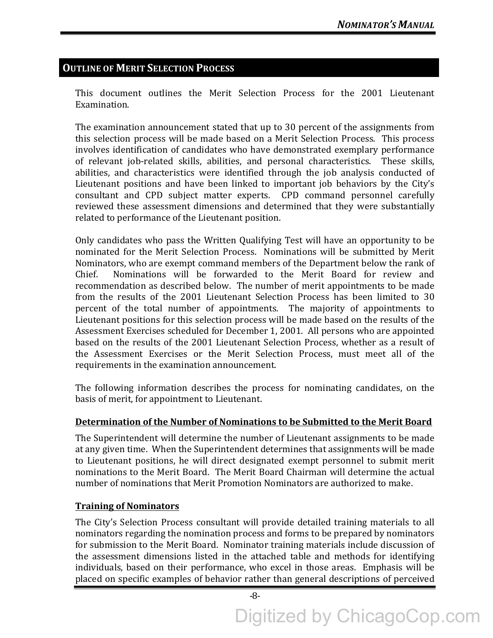# **OUTLINE OF MERIT SELECTION PROCESS**

This document outlines the Merit Selection Process for the 2001 Lieutenant Examination. 

The examination announcement stated that up to 30 percent of the assignments from this selection process will be made based on a Merit Selection Process. This process involves identification of candidates who have demonstrated exemplary performance of relevant job-related skills, abilities, and personal characteristics. These skills, abilities, and characteristics were identified through the job analysis conducted of Lieutenant positions and have been linked to important job behaviors by the City's consultant and CPD subject matter experts. CPD command personnel carefully reviewed these assessment dimensions and determined that they were substantially related to performance of the Lieutenant position.

Only candidates who pass the Written Qualifying Test will have an opportunity to be nominated for the Merit Selection Process. Nominations will be submitted by Merit Nominators, who are exempt command members of the Department below the rank of Chief. Nominations will be forwarded to the Merit Board for review and recommendation as described below. The number of merit appointments to be made from the results of the 2001 Lieutenant Selection Process has been limited to 30 percent of the total number of appointments. The majority of appointments to Lieutenant positions for this selection process will be made based on the results of the Assessment Exercises scheduled for December 1, 2001. All persons who are appointed based on the results of the 2001 Lieutenant Selection Process, whether as a result of the Assessment Exercises or the Merit Selection Process, must meet all of the requirements in the examination announcement.

The following information describes the process for nominating candidates, on the basis of merit, for appointment to Lieutenant.

# **Determination of the Number of Nominations to be Submitted to the Merit Board**

The Superintendent will determine the number of Lieutenant assignments to be made at any given time. When the Superintendent determines that assignments will be made to Lieutenant positions, he will direct designated exempt personnel to submit merit nominations to the Merit Board. The Merit Board Chairman will determine the actual number of nominations that Merit Promotion Nominators are authorized to make.

# **Training of Nominators**

The City's Selection Process consultant will provide detailed training materials to all nominators regarding the nomination process and forms to be prepared by nominators for submission to the Merit Board. Nominator training materials include discussion of the assessment dimensions listed in the attached table and methods for identifying individuals, based on their performance, who excel in those areas. Emphasis will be placed on specific examples of behavior rather than general descriptions of perceived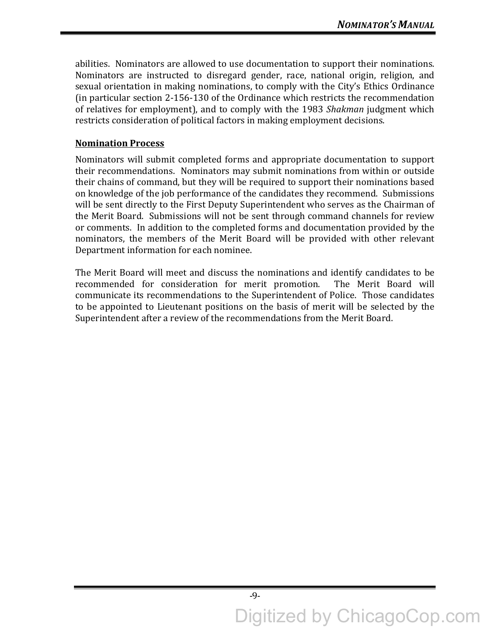abilities. Nominators are allowed to use documentation to support their nominations. Nominators are instructed to disregard gender, race, national origin, religion, and sexual orientation in making nominations, to comply with the City's Ethics Ordinance (in particular section  $2-156-130$  of the Ordinance which restricts the recommendation of relatives for employment), and to comply with the 1983 *Shakman* judgment which restricts consideration of political factors in making employment decisions.

## **Nomination Process**

Nominators will submit completed forms and appropriate documentation to support their recommendations. Nominators may submit nominations from within or outside their chains of command, but they will be required to support their nominations based on knowledge of the job performance of the candidates they recommend. Submissions will be sent directly to the First Deputy Superintendent who serves as the Chairman of the Merit Board. Submissions will not be sent through command channels for review or comments. In addition to the completed forms and documentation provided by the nominators, the members of the Merit Board will be provided with other relevant Department information for each nominee.

The Merit Board will meet and discuss the nominations and identify candidates to be recommended for consideration for merit promotion. The Merit Board will communicate its recommendations to the Superintendent of Police. Those candidates to be appointed to Lieutenant positions on the basis of merit will be selected by the Superintendent after a review of the recommendations from the Merit Board.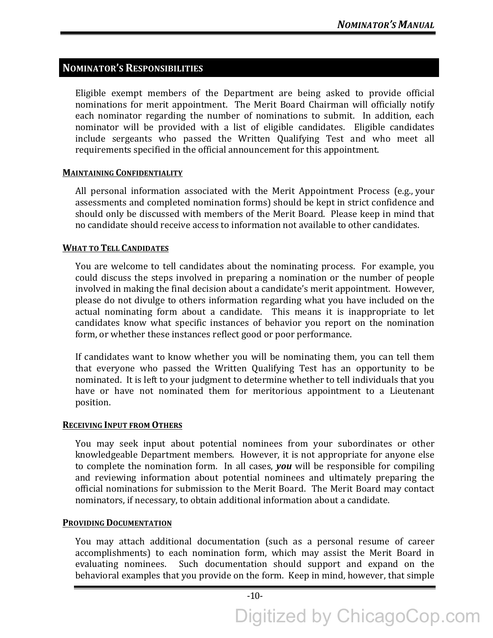# **NOMINATOR'S RESPONSIBILITIES**

Eligible exempt members of the Department are being asked to provide official nominations for merit appointment. The Merit Board Chairman will officially notify each nominator regarding the number of nominations to submit. In addition, each nominator will be provided with a list of eligible candidates. Eligible candidates include sergeants who passed the Written Qualifying Test and who meet all requirements specified in the official announcement for this appointment.

#### **MAINTAINING CONFIDENTIALITY**

All personal information associated with the Merit Appointment Process (e.g., your assessments and completed nomination forms) should be kept in strict confidence and should only be discussed with members of the Merit Board. Please keep in mind that no candidate should receive access to information not available to other candidates.

#### **WHAT TO TELL CANDIDATES**

You are welcome to tell candidates about the nominating process. For example, you could discuss the steps involved in preparing a nomination or the number of people involved in making the final decision about a candidate's merit appointment. However, please do not divulge to others information regarding what you have included on the actual nominating form about a candidate. This means it is inappropriate to let candidates know what specific instances of behavior you report on the nomination form, or whether these instances reflect good or poor performance.

If candidates want to know whether you will be nominating them, you can tell them that everyone who passed the Written Qualifying Test has an opportunity to be nominated. It is left to your judgment to determine whether to tell individuals that you have or have not nominated them for meritorious appointment to a Lieutenant position.

#### **RECEIVING INPUT FROM OTHERS**

You may seek input about potential nominees from your subordinates or other knowledgeable Department members. However, it is not appropriate for anyone else to complete the nomination form. In all cases, you will be responsible for compiling and reviewing information about potential nominees and ultimately preparing the official nominations for submission to the Merit Board. The Merit Board may contact nominators, if necessary, to obtain additional information about a candidate.

#### **PROVIDING DOCUMENTATION**

You may attach additional documentation (such as a personal resume of career accomplishments) to each nomination form, which may assist the Merit Board in evaluating nominees. Such documentation should support and expand on the behavioral examples that you provide on the form. Keep in mind, however, that simple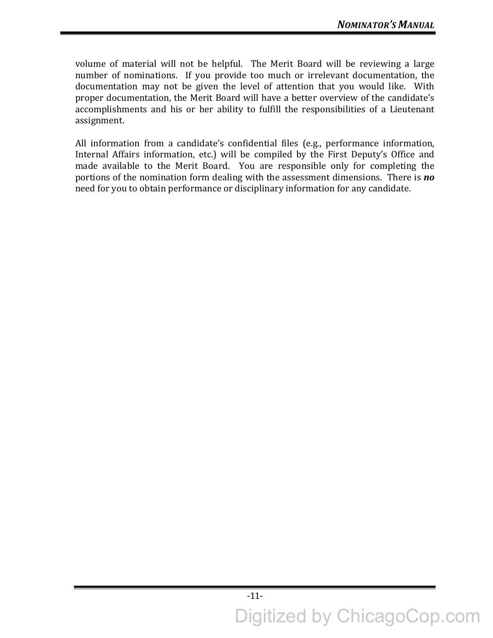volume of material will not be helpful. The Merit Board will be reviewing a large number of nominations. If you provide too much or irrelevant documentation, the documentation may not be given the level of attention that you would like. With proper documentation, the Merit Board will have a better overview of the candidate's accomplishments and his or her ability to fulfill the responsibilities of a Lieutenant assignment. 

All information from a candidate's confidential files (e.g., performance information, Internal Affairs information, etc.) will be compiled by the First Deputy's Office and made available to the Merit Board. You are responsible only for completing the portions of the nomination form dealing with the assessment dimensions. There is **no** need for you to obtain performance or disciplinary information for any candidate.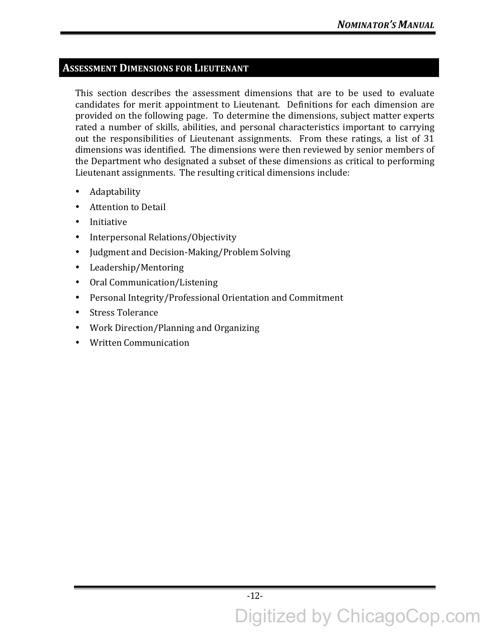# **ASSESSMENT DIMENSIONS FOR LIEUTENANT**

This section describes the assessment dimensions that are to be used to evaluate candidates for merit appointment to Lieutenant. Definitions for each dimension are provided on the following page. To determine the dimensions, subject matter experts rated a number of skills, abilities, and personal characteristics important to carrying out the responsibilities of Lieutenant assignments. From these ratings, a list of 31 dimensions was identified. The dimensions were then reviewed by senior members of the Department who designated a subset of these dimensions as critical to performing Lieutenant assignments. The resulting critical dimensions include:

- Adaptability
- Attention to Detail
- Initiative
- Interpersonal Relations/Objectivity
- Judgment and Decision-Making/Problem Solving
- Leadership/Mentoring
- Oral Communication/Listening
- Personal Integrity/Professional Orientation and Commitment
- Stress Tolerance
- Work Direction/Planning and Organizing
- Written Communication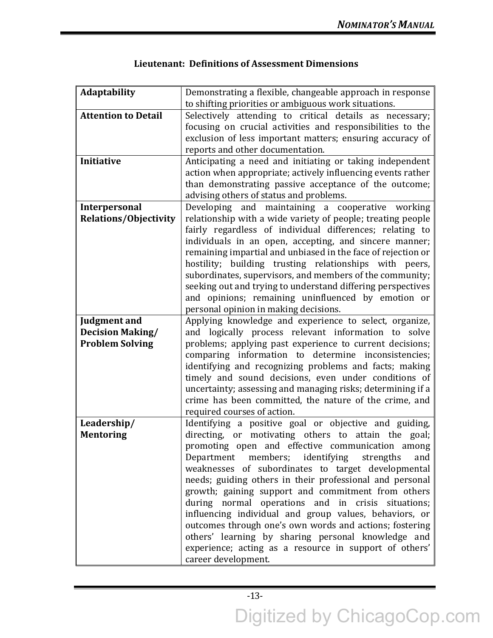| Adaptability                 | Demonstrating a flexible, changeable approach in response    |
|------------------------------|--------------------------------------------------------------|
|                              | to shifting priorities or ambiguous work situations.         |
| <b>Attention to Detail</b>   | Selectively attending to critical details as necessary;      |
|                              | focusing on crucial activities and responsibilities to the   |
|                              | exclusion of less important matters; ensuring accuracy of    |
|                              | reports and other documentation.                             |
| Initiative                   | Anticipating a need and initiating or taking independent     |
|                              | action when appropriate; actively influencing events rather  |
|                              | than demonstrating passive acceptance of the outcome;        |
|                              | advising others of status and problems.                      |
|                              |                                                              |
| Interpersonal                | Developing and maintaining a cooperative working             |
| <b>Relations/Objectivity</b> | relationship with a wide variety of people; treating people  |
|                              | fairly regardless of individual differences; relating to     |
|                              | individuals in an open, accepting, and sincere manner;       |
|                              | remaining impartial and unbiased in the face of rejection or |
|                              | hostility; building trusting relationships with peers,       |
|                              | subordinates, supervisors, and members of the community;     |
|                              | seeking out and trying to understand differing perspectives  |
|                              | and opinions; remaining uninfluenced by emotion or           |
|                              | personal opinion in making decisions.                        |
| <b>Judgment and</b>          | Applying knowledge and experience to select, organize,       |
| <b>Decision Making/</b>      | and logically process relevant information to solve          |
| <b>Problem Solving</b>       | problems; applying past experience to current decisions;     |
|                              | comparing information to determine inconsistencies;          |
|                              | identifying and recognizing problems and facts; making       |
|                              | timely and sound decisions, even under conditions of         |
|                              | uncertainty; assessing and managing risks; determining if a  |
|                              | crime has been committed, the nature of the crime, and       |
|                              | required courses of action.                                  |
| Leadership/                  | Identifying a positive goal or objective and guiding,        |
| <b>Mentoring</b>             | directing, or motivating others to attain the goal;          |
|                              | promoting open and effective communication among             |
|                              |                                                              |
|                              | members; identifying<br>Department<br>strengths<br>and       |
|                              | weaknesses of subordinates to target developmental           |
|                              | needs; guiding others in their professional and personal     |
|                              | growth; gaining support and commitment from others           |
|                              | during normal operations and in crisis situations;           |
|                              | influencing individual and group values, behaviors, or       |
|                              | outcomes through one's own words and actions; fostering      |
|                              | others' learning by sharing personal knowledge and           |
|                              | experience; acting as a resource in support of others'       |
|                              | career development.                                          |

# Lieutenant: Definitions of Assessment Dimensions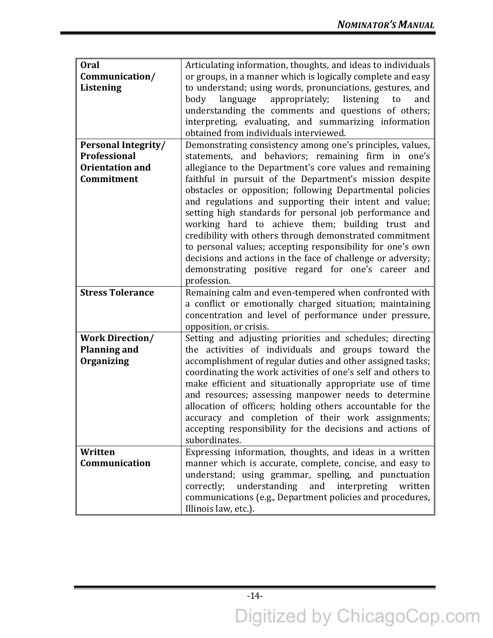| <b>Oral</b>                | Articulating information, thoughts, and ideas to individuals |
|----------------------------|--------------------------------------------------------------|
| Communication/             | or groups, in a manner which is logically complete and easy  |
| Listening                  | to understand; using words, pronunciations, gestures, and    |
|                            | appropriately;<br>listening<br>body<br>language<br>to<br>and |
|                            | understanding the comments and questions of others;          |
|                            | interpreting, evaluating, and summarizing information        |
|                            | obtained from individuals interviewed.                       |
| <b>Personal Integrity/</b> | Demonstrating consistency among one's principles, values,    |
| Professional               | statements, and behaviors; remaining firm in one's           |
| <b>Orientation and</b>     | allegiance to the Department's core values and remaining     |
| Commitment                 | faithful in pursuit of the Department's mission despite      |
|                            | obstacles or opposition; following Departmental policies     |
|                            | and regulations and supporting their intent and value;       |
|                            | setting high standards for personal job performance and      |
|                            | working hard to achieve them; building trust and             |
|                            | credibility with others through demonstrated commitment      |
|                            | to personal values; accepting responsibility for one's own   |
|                            | decisions and actions in the face of challenge or adversity; |
|                            | demonstrating positive regard for one's career<br>and        |
|                            | profession.                                                  |
| <b>Stress Tolerance</b>    | Remaining calm and even-tempered when confronted with        |
|                            | a conflict or emotionally charged situation; maintaining     |
|                            | concentration and level of performance under pressure,       |
|                            | opposition, or crisis.                                       |
| <b>Work Direction/</b>     | Setting and adjusting priorities and schedules; directing    |
| <b>Planning and</b>        | the activities of individuals and groups toward the          |
| <b>Organizing</b>          | accomplishment of regular duties and other assigned tasks;   |
|                            | coordinating the work activities of one's self and others to |
|                            | make efficient and situationally appropriate use of time     |
|                            | and resources; assessing manpower needs to determine         |
|                            | allocation of officers; holding others accountable for the   |
|                            | accuracy and completion of their work assignments;           |
|                            | accepting responsibility for the decisions and actions of    |
|                            | subordinates.                                                |
| Written                    | Expressing information, thoughts, and ideas in a written     |
| Communication              | manner which is accurate, complete, concise, and easy to     |
|                            | understand; using grammar, spelling, and punctuation         |
|                            | understanding<br>and interpreting<br>correctly;<br>written   |
|                            | communications (e.g., Department policies and procedures,    |
|                            | Illinois law, etc.).                                         |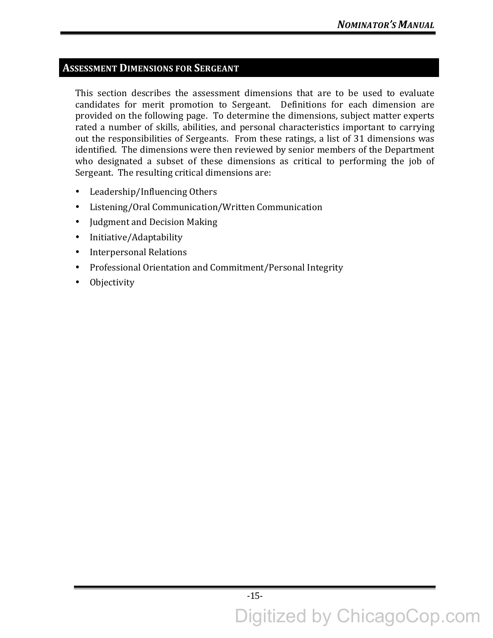# **ASSESSMENT DIMENSIONS FOR SERGEANT**

This section describes the assessment dimensions that are to be used to evaluate candidates for merit promotion to Sergeant. Definitions for each dimension are provided on the following page. To determine the dimensions, subject matter experts rated a number of skills, abilities, and personal characteristics important to carrying out the responsibilities of Sergeants. From these ratings, a list of 31 dimensions was identified. The dimensions were then reviewed by senior members of the Department who designated a subset of these dimensions as critical to performing the job of Sergeant. The resulting critical dimensions are:

- Leadership/Influencing Others
- Listening/Oral Communication/Written Communication
- Judgment and Decision Making
- Initiative/Adaptability
- Interpersonal Relations
- Professional Orientation and Commitment/Personal Integrity
- Objectivity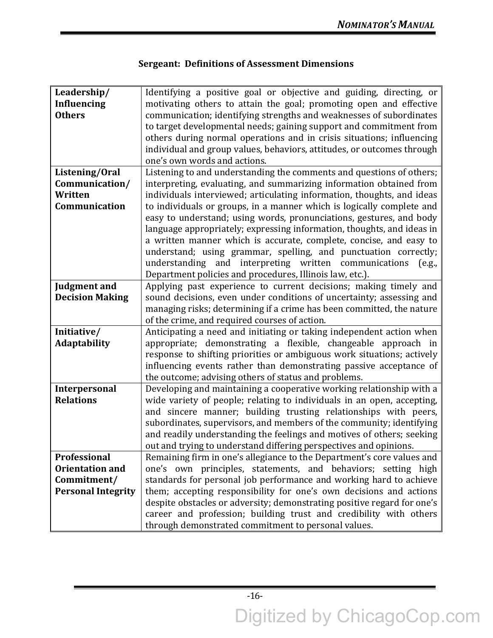| Leadership/                              | Identifying a positive goal or objective and guiding, directing, or                                                                            |
|------------------------------------------|------------------------------------------------------------------------------------------------------------------------------------------------|
| <b>Influencing</b>                       | motivating others to attain the goal; promoting open and effective                                                                             |
| <b>Others</b>                            | communication; identifying strengths and weaknesses of subordinates                                                                            |
|                                          | to target developmental needs; gaining support and commitment from                                                                             |
|                                          | others during normal operations and in crisis situations; influencing                                                                          |
|                                          | individual and group values, behaviors, attitudes, or outcomes through                                                                         |
|                                          | one's own words and actions.                                                                                                                   |
| Listening/Oral                           | Listening to and understanding the comments and questions of others;                                                                           |
| Communication/                           | interpreting, evaluating, and summarizing information obtained from                                                                            |
| Written                                  | individuals interviewed; articulating information, thoughts, and ideas                                                                         |
| Communication                            | to individuals or groups, in a manner which is logically complete and                                                                          |
|                                          | easy to understand; using words, pronunciations, gestures, and body                                                                            |
|                                          | language appropriately; expressing information, thoughts, and ideas in                                                                         |
|                                          | a written manner which is accurate, complete, concise, and easy to                                                                             |
|                                          | understand; using grammar, spelling, and punctuation correctly;                                                                                |
|                                          | understanding and interpreting written communications<br>(e.g.,                                                                                |
|                                          | Department policies and procedures, Illinois law, etc.).                                                                                       |
| <b>Judgment and</b>                      | Applying past experience to current decisions; making timely and                                                                               |
| <b>Decision Making</b>                   | sound decisions, even under conditions of uncertainty; assessing and                                                                           |
|                                          | managing risks; determining if a crime has been committed, the nature                                                                          |
|                                          | of the crime, and required courses of action.                                                                                                  |
| Initiative/                              | Anticipating a need and initiating or taking independent action when                                                                           |
| <b>Adaptability</b>                      | appropriate; demonstrating a flexible, changeable approach in                                                                                  |
|                                          | response to shifting priorities or ambiguous work situations; actively                                                                         |
|                                          | influencing events rather than demonstrating passive acceptance of                                                                             |
|                                          |                                                                                                                                                |
|                                          | the outcome; advising others of status and problems.                                                                                           |
| <b>Interpersonal</b><br><b>Relations</b> | Developing and maintaining a cooperative working relationship with a<br>wide variety of people; relating to individuals in an open, accepting, |
|                                          | and sincere manner; building trusting relationships with peers,                                                                                |
|                                          | subordinates, supervisors, and members of the community; identifying                                                                           |
|                                          | and readily understanding the feelings and motives of others; seeking                                                                          |
|                                          | out and trying to understand differing perspectives and opinions.                                                                              |
| Professional                             | Remaining firm in one's allegiance to the Department's core values and                                                                         |
| <b>Orientation and</b>                   | one's own principles, statements, and behaviors; setting high                                                                                  |
| Commitment/                              | standards for personal job performance and working hard to achieve                                                                             |
| <b>Personal Integrity</b>                | them; accepting responsibility for one's own decisions and actions                                                                             |
|                                          | despite obstacles or adversity; demonstrating positive regard for one's                                                                        |
|                                          | career and profession; building trust and credibility with others                                                                              |
|                                          |                                                                                                                                                |
|                                          | through demonstrated commitment to personal values.                                                                                            |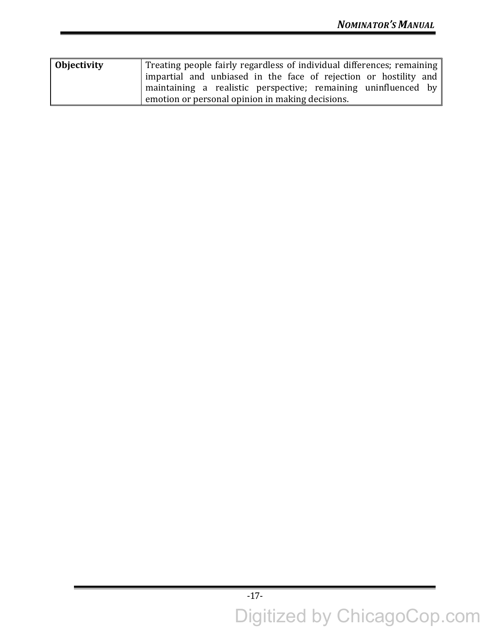| Objectivity | Treating people fairly regardless of individual differences; remaining |
|-------------|------------------------------------------------------------------------|
|             | impartial and unbiased in the face of rejection or hostility and       |
|             | maintaining a realistic perspective; remaining uninfluenced by         |
|             | emotion or personal opinion in making decisions.                       |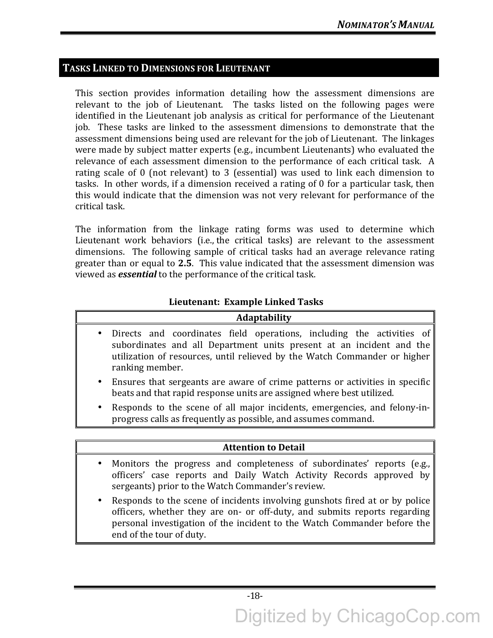# **TASKS LINKED TO DIMENSIONS FOR LIEUTENANT**

This section provides information detailing how the assessment dimensions are relevant to the job of Lieutenant. The tasks listed on the following pages were identified in the Lieutenant job analysis as critical for performance of the Lieutenant job. These tasks are linked to the assessment dimensions to demonstrate that the assessment dimensions being used are relevant for the job of Lieutenant. The linkages were made by subject matter experts (e.g., incumbent Lieutenants) who evaluated the relevance of each assessment dimension to the performance of each critical task. A rating scale of  $0$  (not relevant) to  $3$  (essential) was used to link each dimension to tasks. In other words, if a dimension received a rating of 0 for a particular task, then this would indicate that the dimension was not very relevant for performance of the critical task.

The information from the linkage rating forms was used to determine which Lieutenant work behaviors (i.e., the critical tasks) are relevant to the assessment dimensions. The following sample of critical tasks had an average relevance rating greater than or equal to 2.5. This value indicated that the assessment dimension was viewed as *essential* to the performance of the critical task.

## **Lieutenant: Example Linked Tasks**

| <b>Adaptability</b>                                                                                                                                                                                                                                        |
|------------------------------------------------------------------------------------------------------------------------------------------------------------------------------------------------------------------------------------------------------------|
| Directs and coordinates field operations, including the activities of<br>$\bullet$<br>subordinates and all Department units present at an incident and the<br>utilization of resources, until relieved by the Watch Commander or higher<br>ranking member. |
| • Ensures that sergeants are aware of crime patterns or activities in specific<br>beats and that rapid response units are assigned where best utilized.                                                                                                    |
| • Responds to the scene of all major incidents, emergencies, and felony-in-<br>progress calls as frequently as possible, and assumes command.                                                                                                              |
|                                                                                                                                                                                                                                                            |
| <b>Attention to Detail</b>                                                                                                                                                                                                                                 |
| • Monitors the progress and completeness of subordinates' reports (e.g.,<br>officers' case reports and Daily Watch Activity Records approved by<br>sergeants) prior to the Watch Commander's review.                                                       |
| Responds to the scene of incidents involving gunshots fired at or by police                                                                                                                                                                                |

• Responds to the scene of incidents involving gunshots fired at or by police officers, whether they are on- or off-duty, and submits reports regarding personal investigation of the incident to the Watch Commander before the end of the tour of duty.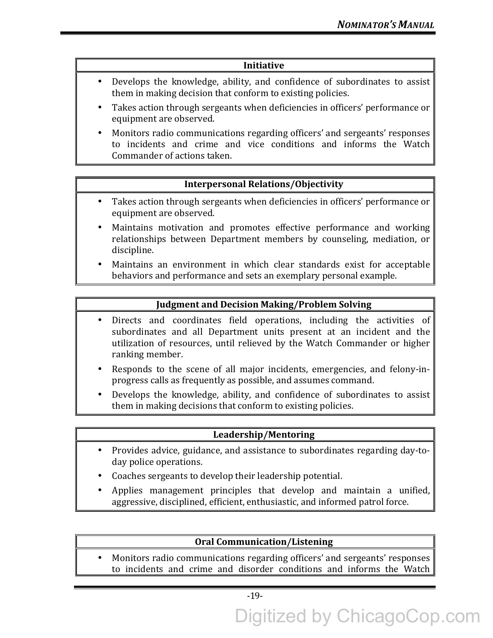#### **Initiative**

- Develops the knowledge, ability, and confidence of subordinates to assist them in making decision that conform to existing policies.
- Takes action through sergeants when deficiencies in officers' performance or equipment are observed.
- Monitors radio communications regarding officers' and sergeants' responses to incidents and crime and vice conditions and informs the Watch Commander of actions taken.

#### **Interpersonal Relations/Objectivity**

- Takes action through sergeants when deficiencies in officers' performance or equipment are observed.
- Maintains motivation and promotes effective performance and working relationships between Department members by counseling, mediation, or discipline.
- Maintains an environment in which clear standards exist for acceptable behaviors and performance and sets an exemplary personal example.

#### **Judgment and Decision Making/Problem Solving**

- Directs and coordinates field operations, including the activities of subordinates and all Department units present at an incident and the utilization of resources, until relieved by the Watch Commander or higher ranking member.
- Responds to the scene of all major incidents, emergencies, and felony-inprogress calls as frequently as possible, and assumes command.
- Develops the knowledge, ability, and confidence of subordinates to assist them in making decisions that conform to existing policies.

#### **Leadership/Mentoring**

- Provides advice, guidance, and assistance to subordinates regarding day-today police operations.
- Coaches sergeants to develop their leadership potential.
- Applies management principles that develop and maintain a unified, aggressive, disciplined, efficient, enthusiastic, and informed patrol force.

#### **Oral Communication/Listening**

• Monitors radio communications regarding officers' and sergeants' responses to incidents and crime and disorder conditions and informs the Watch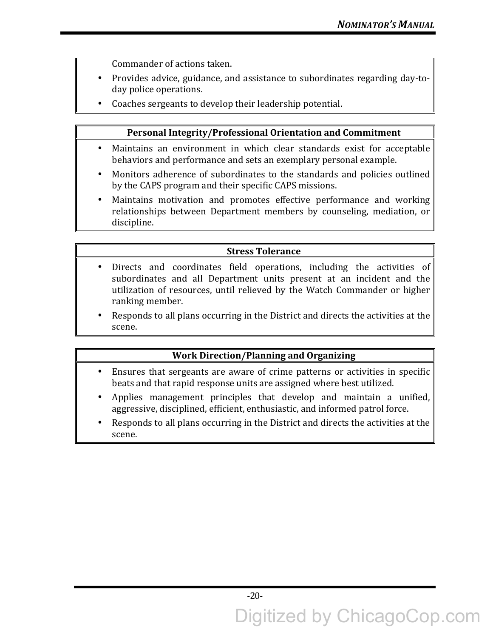Commander of actions taken.

- Provides advice, guidance, and assistance to subordinates regarding day-today police operations.
- Coaches sergeants to develop their leadership potential.

#### **Personal Integrity/Professional Orientation and Commitment**

- Maintains an environment in which clear standards exist for acceptable behaviors and performance and sets an exemplary personal example.
- Monitors adherence of subordinates to the standards and policies outlined by the CAPS program and their specific CAPS missions.
- Maintains motivation and promotes effective performance and working relationships between Department members by counseling, mediation, or discipline.

# **Stress Tolerance**

- Directs and coordinates field operations, including the activities of subordinates and all Department units present at an incident and the utilization of resources, until relieved by the Watch Commander or higher ranking member.
- Responds to all plans occurring in the District and directs the activities at the scene.

# **Work Direction/Planning and Organizing**

- Ensures that sergeants are aware of crime patterns or activities in specific beats and that rapid response units are assigned where best utilized.
- Applies management principles that develop and maintain a unified, aggressive, disciplined, efficient, enthusiastic, and informed patrol force.
- Responds to all plans occurring in the District and directs the activities at the scene.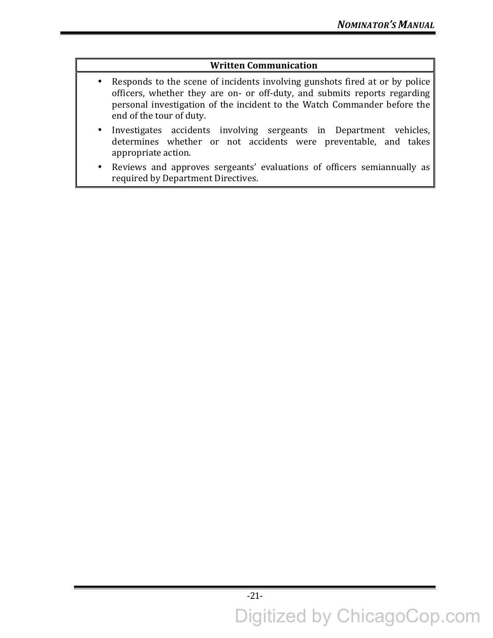# **Written Communication**

- Responds to the scene of incidents involving gunshots fired at or by police officers, whether they are on- or off-duty, and submits reports regarding personal investigation of the incident to the Watch Commander before the end of the tour of duty.
- Investigates accidents involving sergeants in Department vehicles,  $d$  determines whether or not accidents were preventable, and takes appropriate action.
- Reviews and approves sergeants' evaluations of officers semiannually as required by Department Directives.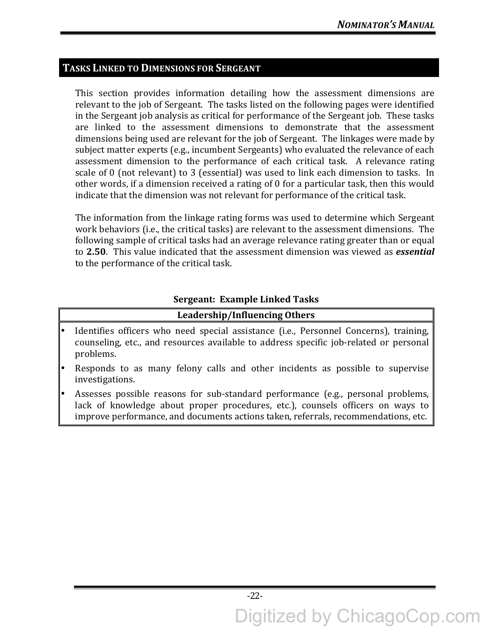# **TASKS LINKED TO DIMENSIONS FOR SERGEANT**

This section provides information detailing how the assessment dimensions are relevant to the job of Sergeant. The tasks listed on the following pages were identified in the Sergeant job analysis as critical for performance of the Sergeant job. These tasks are linked to the assessment dimensions to demonstrate that the assessment dimensions being used are relevant for the job of Sergeant. The linkages were made by subject matter experts (e.g., incumbent Sergeants) who evaluated the relevance of each assessment dimension to the performance of each critical task. A relevance rating scale of 0 (not relevant) to 3 (essential) was used to link each dimension to tasks. In other words, if a dimension received a rating of 0 for a particular task, then this would indicate that the dimension was not relevant for performance of the critical task.

The information from the linkage rating forms was used to determine which Sergeant work behaviors (i.e., the critical tasks) are relevant to the assessment dimensions. The following sample of critical tasks had an average relevance rating greater than or equal to **2.50**. This value indicated that the assessment dimension was viewed as *essential* to the performance of the critical task.

# **Sergeant: Example Linked Tasks Leadership/Influencing Others**

# Identifies officers who need special assistance (i.e., Personnel Concerns), training, counseling, etc., and resources available to address specific job-related or personal problems.

- Responds to as many felony calls and other incidents as possible to supervise investigations.
- Assesses possible reasons for sub-standard performance (e.g., personal problems, lack of knowledge about proper procedures, etc.), counsels officers on ways to improve performance, and documents actions taken, referrals, recommendations, etc.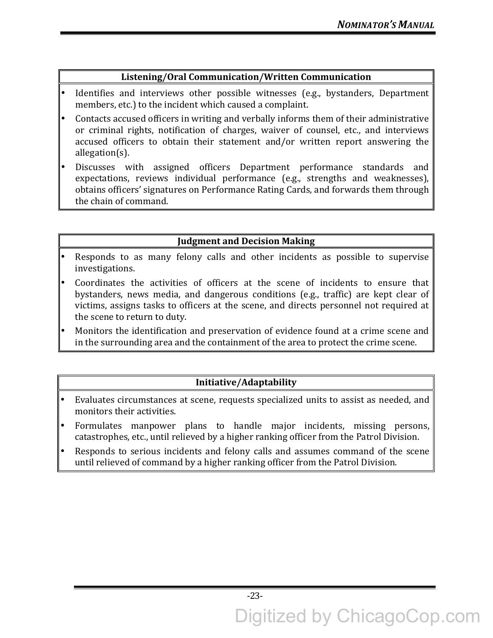# **Listening/Oral Communication/Written Communication**

- Identifies and interviews other possible witnesses (e.g., bystanders, Department members, etc.) to the incident which caused a complaint.
- Contacts accused officers in writing and verbally informs them of their administrative or criminal rights, notification of charges, waiver of counsel, etc., and interviews accused officers to obtain their statement and/or written report answering the allegation(s).
- Discusses with assigned officers Department performance standards and expectations, reviews individual performance (e.g., strengths and weaknesses), obtains officers' signatures on Performance Rating Cards, and forwards them through the chain of command.

# **Judgment and Decision Making**

- Responds to as many felony calls and other incidents as possible to supervise investigations.
- Coordinates the activities of officers at the scene of incidents to ensure that bystanders, news media, and dangerous conditions (e.g., traffic) are kept clear of victims, assigns tasks to officers at the scene, and directs personnel not required at the scene to return to duty.
- Monitors the identification and preservation of evidence found at a crime scene and in the surrounding area and the containment of the area to protect the crime scene.

# **Initiative/Adaptability**

- Evaluates circumstances at scene, requests specialized units to assist as needed, and monitors their activities.
- Formulates manpower plans to handle major incidents, missing persons, catastrophes, etc., until relieved by a higher ranking officer from the Patrol Division.
- Responds to serious incidents and felony calls and assumes command of the scene until relieved of command by a higher ranking officer from the Patrol Division.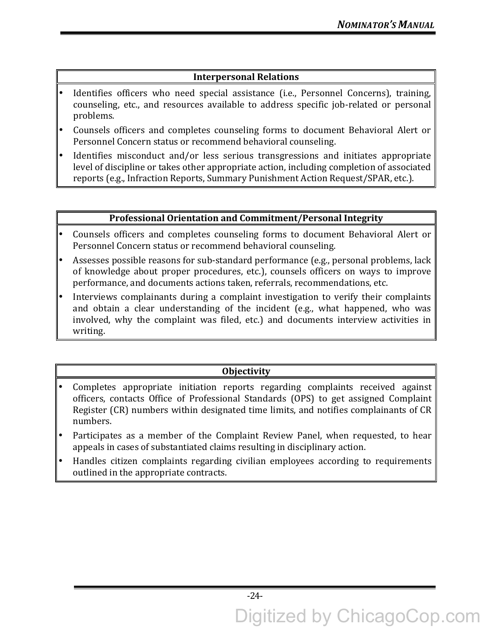# **Interpersonal Relations**

- Identifies officers who need special assistance (i.e., Personnel Concerns), training, counseling, etc., and resources available to address specific job-related or personal problems.
- Counsels officers and completes counseling forms to document Behavioral Alert or Personnel Concern status or recommend behavioral counseling.
- Identifies misconduct and/or less serious transgressions and initiates appropriate level of discipline or takes other appropriate action, including completion of associated reports (e.g., Infraction Reports, Summary Punishment Action Request/SPAR, etc.).

## **Professional Orientation and Commitment/Personal Integrity**

- Counsels officers and completes counseling forms to document Behavioral Alert or Personnel Concern status or recommend behavioral counseling.
- Assesses possible reasons for sub-standard performance (e.g., personal problems, lack of knowledge about proper procedures, etc.), counsels officers on ways to improve performance, and documents actions taken, referrals, recommendations, etc.
- Interviews complainants during a complaint investigation to verify their complaints and obtain a clear understanding of the incident (e.g., what happened, who was involved, why the complaint was filed, etc.) and documents interview activities in writing.

# **Objectivity**

- Completes appropriate initiation reports regarding complaints received against officers, contacts Office of Professional Standards (OPS) to get assigned Complaint Register (CR) numbers within designated time limits, and notifies complainants of CR numbers.
- Participates as a member of the Complaint Review Panel, when requested, to hear appeals in cases of substantiated claims resulting in disciplinary action.
- Handles citizen complaints regarding civilian employees according to requirements outlined in the appropriate contracts.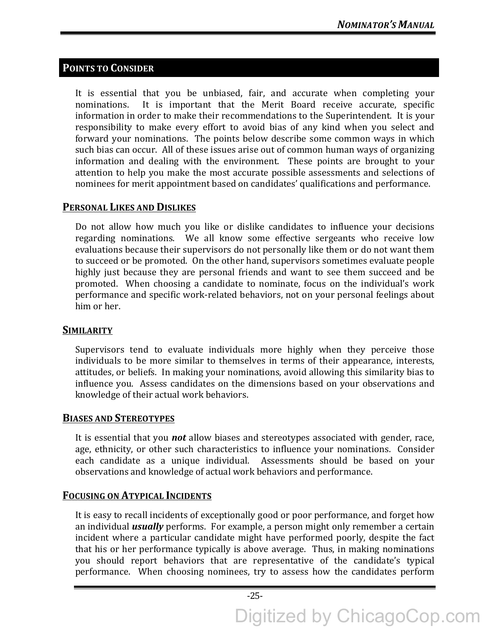# **POINTS TO CONSIDER**

It is essential that you be unbiased, fair, and accurate when completing your nominations. It is important that the Merit Board receive accurate, specific information in order to make their recommendations to the Superintendent. It is your responsibility to make every effort to avoid bias of any kind when you select and forward your nominations. The points below describe some common ways in which such bias can occur. All of these issues arise out of common human ways of organizing information and dealing with the environment. These points are brought to your attention to help you make the most accurate possible assessments and selections of nominees for merit appointment based on candidates' qualifications and performance.

# **PERSONAL LIKES AND DISLIKES**

Do not allow how much you like or dislike candidates to influence your decisions regarding nominations. We all know some effective sergeants who receive low evaluations because their supervisors do not personally like them or do not want them to succeed or be promoted. On the other hand, supervisors sometimes evaluate people highly just because they are personal friends and want to see them succeed and be promoted. When choosing a candidate to nominate, focus on the individual's work performance and specific work-related behaviors, not on your personal feelings about him or her.

# **SIMILARITY**

Supervisors tend to evaluate individuals more highly when they perceive those individuals to be more similar to themselves in terms of their appearance, interests, attitudes, or beliefs. In making your nominations, avoid allowing this similarity bias to influence you. Assess candidates on the dimensions based on your observations and knowledge of their actual work behaviors.

# **BIASES AND STEREOTYPES**

It is essential that you **not** allow biases and stereotypes associated with gender, race, age, ethnicity, or other such characteristics to influence your nominations. Consider each candidate as a unique individual. Assessments should be based on your observations and knowledge of actual work behaviors and performance.

# **FOCUSING ON ATYPICAL INCIDENTS**

It is easy to recall incidents of exceptionally good or poor performance, and forget how an individual *usually* performs. For example, a person might only remember a certain incident where a particular candidate might have performed poorly, despite the fact that his or her performance typically is above average. Thus, in making nominations you should report behaviors that are representative of the candidate's typical performance. When choosing nominees, try to assess how the candidates perform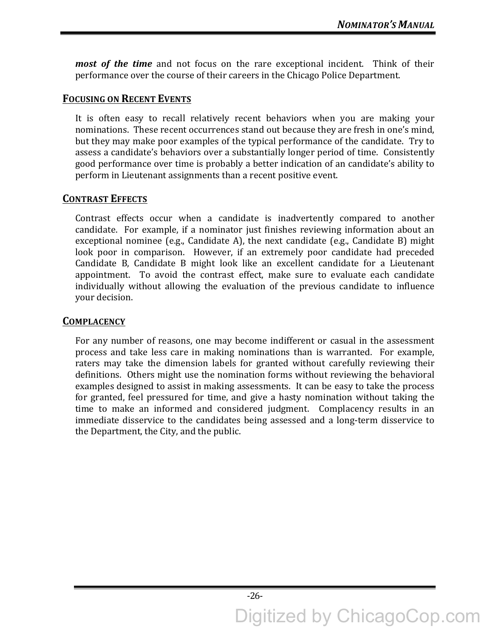*most of the time* and not focus on the rare exceptional incident. Think of their performance over the course of their careers in the Chicago Police Department.

# **FOCUSING ON RECENT EVENTS**

It is often easy to recall relatively recent behaviors when you are making your nominations. These recent occurrences stand out because they are fresh in one's mind, but they may make poor examples of the typical performance of the candidate. Try to assess a candidate's behaviors over a substantially longer period of time. Consistently good performance over time is probably a better indication of an candidate's ability to perform in Lieutenant assignments than a recent positive event.

# **CONTRAST EFFECTS**

Contrast effects occur when a candidate is inadvertently compared to another candidate. For example, if a nominator just finishes reviewing information about an exceptional nominee  $(e.g.,$  Candidate A), the next candidate  $(e.g.,$  Candidate B) might look poor in comparison. However, if an extremely poor candidate had preceded Candidate B, Candidate B might look like an excellent candidate for a Lieutenant appointment. To avoid the contrast effect, make sure to evaluate each candidate individually without allowing the evaluation of the previous candidate to influence your decision.

# **COMPLACENCY**

For any number of reasons, one may become indifferent or casual in the assessment process and take less care in making nominations than is warranted. For example, raters may take the dimension labels for granted without carefully reviewing their definitions. Others might use the nomination forms without reviewing the behavioral examples designed to assist in making assessments. It can be easy to take the process for granted, feel pressured for time, and give a hasty nomination without taking the time to make an informed and considered judgment. Complacency results in an immediate disservice to the candidates being assessed and a long-term disservice to the Department, the City, and the public.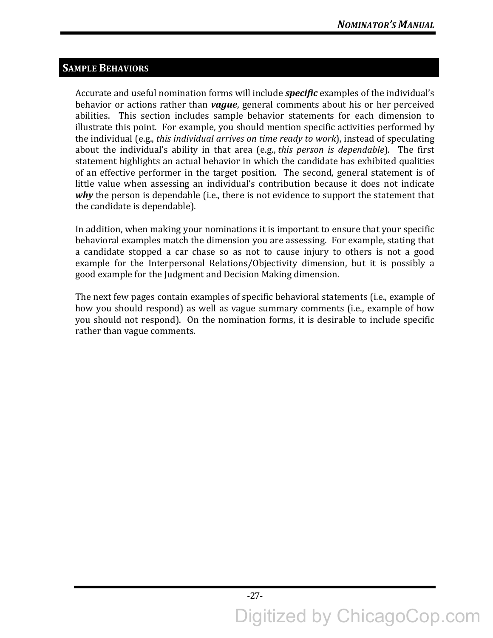# **SAMPLE BEHAVIORS**

Accurate and useful nomination forms will include **specific** examples of the individual's behavior or actions rather than *vague*, general comments about his or her perceived abilities. This section includes sample behavior statements for each dimension to illustrate this point. For example, you should mention specific activities performed by the individual (e.g., *this individual arrives on time ready to work*), instead of speculating about the individual's ability in that area (e.g., *this person is dependable*). The first statement highlights an actual behavior in which the candidate has exhibited qualities of an effective performer in the target position. The second, general statement is of little value when assessing an individual's contribution because it does not indicate *why* the person is dependable (i.e., there is not evidence to support the statement that the candidate is dependable).

In addition, when making your nominations it is important to ensure that your specific behavioral examples match the dimension you are assessing. For example, stating that a candidate stopped a car chase so as not to cause injury to others is not a good example for the Interpersonal Relations/Objectivity dimension, but it is possibly a good example for the Judgment and Decision Making dimension.

The next few pages contain examples of specific behavioral statements (i.e., example of how you should respond) as well as vague summary comments (i.e., example of how you should not respond). On the nomination forms, it is desirable to include specific rather than vague comments.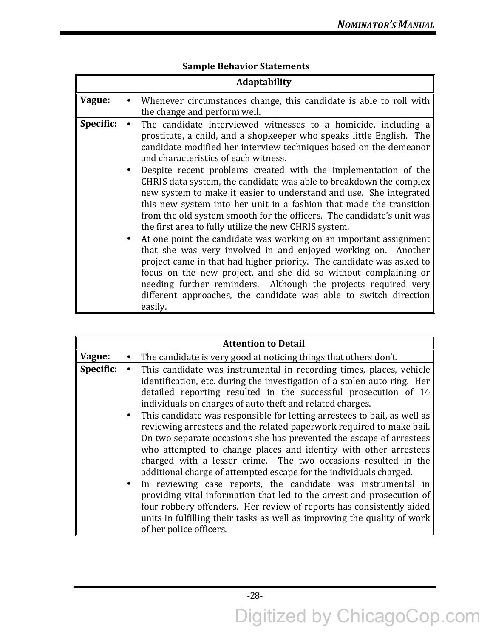|           | <b>Adaptability</b>                                                                                                                                                                                                                                                                                                                                                                                                                                                                                                                                                                                                                                                                                                                                                                                                                                                                                                                                                                                                                                                                                          |
|-----------|--------------------------------------------------------------------------------------------------------------------------------------------------------------------------------------------------------------------------------------------------------------------------------------------------------------------------------------------------------------------------------------------------------------------------------------------------------------------------------------------------------------------------------------------------------------------------------------------------------------------------------------------------------------------------------------------------------------------------------------------------------------------------------------------------------------------------------------------------------------------------------------------------------------------------------------------------------------------------------------------------------------------------------------------------------------------------------------------------------------|
| Vague:    | Whenever circumstances change, this candidate is able to roll with<br>the change and perform well.                                                                                                                                                                                                                                                                                                                                                                                                                                                                                                                                                                                                                                                                                                                                                                                                                                                                                                                                                                                                           |
| Specific: | The candidate interviewed witnesses to a homicide, including a<br>prostitute, a child, and a shopkeeper who speaks little English. The<br>candidate modified her interview techniques based on the demeanor<br>and characteristics of each witness.<br>Despite recent problems created with the implementation of the<br>CHRIS data system, the candidate was able to breakdown the complex<br>new system to make it easier to understand and use. She integrated<br>this new system into her unit in a fashion that made the transition<br>from the old system smooth for the officers. The candidate's unit was<br>the first area to fully utilize the new CHRIS system.<br>At one point the candidate was working on an important assignment<br>that she was very involved in and enjoyed working on. Another<br>project came in that had higher priority. The candidate was asked to<br>focus on the new project, and she did so without complaining or<br>needing further reminders. Although the projects required very<br>different approaches, the candidate was able to switch direction<br>easily. |

# **Sample Behavior Statements**

|           | <b>Attention to Detail</b>                                                                                                                                                                                                                                                                                                                                                                                                                                                                                                                                                                                                                                                                                                                                                                                                                                                                                                                                                                                                                         |
|-----------|----------------------------------------------------------------------------------------------------------------------------------------------------------------------------------------------------------------------------------------------------------------------------------------------------------------------------------------------------------------------------------------------------------------------------------------------------------------------------------------------------------------------------------------------------------------------------------------------------------------------------------------------------------------------------------------------------------------------------------------------------------------------------------------------------------------------------------------------------------------------------------------------------------------------------------------------------------------------------------------------------------------------------------------------------|
| Vague:    | The candidate is very good at noticing things that others don't.                                                                                                                                                                                                                                                                                                                                                                                                                                                                                                                                                                                                                                                                                                                                                                                                                                                                                                                                                                                   |
| Specific: | This candidate was instrumental in recording times, places, vehicle<br>identification, etc. during the investigation of a stolen auto ring. Her<br>detailed reporting resulted in the successful prosecution of 14<br>individuals on charges of auto theft and related charges.<br>• This candidate was responsible for letting arrestees to bail, as well as<br>reviewing arrestees and the related paperwork required to make bail.<br>On two separate occasions she has prevented the escape of arrestees<br>who attempted to change places and identity with other arrestees<br>charged with a lesser crime. The two occasions resulted in the<br>additional charge of attempted escape for the individuals charged.<br>• In reviewing case reports, the candidate was instrumental in<br>providing vital information that led to the arrest and prosecution of<br>four robbery offenders. Her review of reports has consistently aided<br>units in fulfilling their tasks as well as improving the quality of work<br>of her police officers. |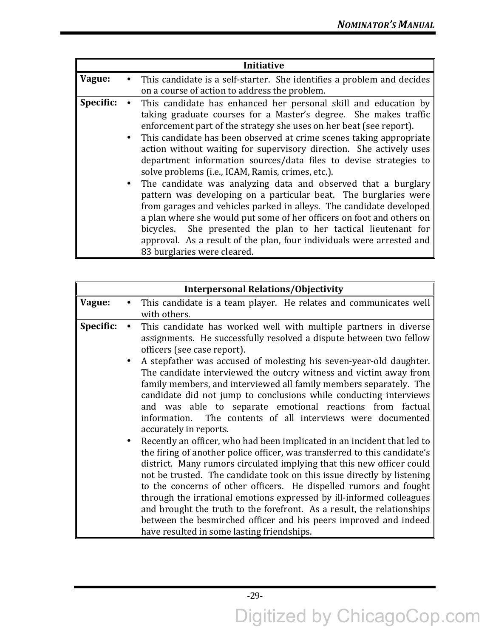| Vague:<br>This candidate is a self-starter. She identifies a problem and decides<br>on a course of action to address the problem.<br>Specific:<br>This candidate has enhanced her personal skill and education by<br>taking graduate courses for a Master's degree. She makes traffic<br>enforcement part of the strategy she uses on her beat (see report).<br>• This candidate has been observed at crime scenes taking appropriate<br>action without waiting for supervisory direction. She actively uses<br>department information sources/data files to devise strategies to<br>solve problems (i.e., ICAM, Ramis, crimes, etc.).<br>• The candidate was analyzing data and observed that a burglary<br>pattern was developing on a particular beat. The burglaries were<br>from garages and vehicles parked in alleys. The candidate developed<br>a plan where she would put some of her officers on foot and others on<br>bicycles. She presented the plan to her tactical lieutenant for |  | Initiative                                                            |
|--------------------------------------------------------------------------------------------------------------------------------------------------------------------------------------------------------------------------------------------------------------------------------------------------------------------------------------------------------------------------------------------------------------------------------------------------------------------------------------------------------------------------------------------------------------------------------------------------------------------------------------------------------------------------------------------------------------------------------------------------------------------------------------------------------------------------------------------------------------------------------------------------------------------------------------------------------------------------------------------------|--|-----------------------------------------------------------------------|
|                                                                                                                                                                                                                                                                                                                                                                                                                                                                                                                                                                                                                                                                                                                                                                                                                                                                                                                                                                                                  |  |                                                                       |
|                                                                                                                                                                                                                                                                                                                                                                                                                                                                                                                                                                                                                                                                                                                                                                                                                                                                                                                                                                                                  |  |                                                                       |
| 83 burglaries were cleared.                                                                                                                                                                                                                                                                                                                                                                                                                                                                                                                                                                                                                                                                                                                                                                                                                                                                                                                                                                      |  | approval. As a result of the plan, four individuals were arrested and |

|           | <b>Interpersonal Relations/Objectivity</b>                                                                                                                                                                                                                                                                                                                                                                                                                                                                                                                                                                                                                                                                                                                                                                                                                                                                                                                                                                                                                                                      |
|-----------|-------------------------------------------------------------------------------------------------------------------------------------------------------------------------------------------------------------------------------------------------------------------------------------------------------------------------------------------------------------------------------------------------------------------------------------------------------------------------------------------------------------------------------------------------------------------------------------------------------------------------------------------------------------------------------------------------------------------------------------------------------------------------------------------------------------------------------------------------------------------------------------------------------------------------------------------------------------------------------------------------------------------------------------------------------------------------------------------------|
| Vague:    | This candidate is a team player. He relates and communicates well                                                                                                                                                                                                                                                                                                                                                                                                                                                                                                                                                                                                                                                                                                                                                                                                                                                                                                                                                                                                                               |
|           | with others.                                                                                                                                                                                                                                                                                                                                                                                                                                                                                                                                                                                                                                                                                                                                                                                                                                                                                                                                                                                                                                                                                    |
| Specific: | This candidate has worked well with multiple partners in diverse<br>assignments. He successfully resolved a dispute between two fellow<br>officers (see case report).                                                                                                                                                                                                                                                                                                                                                                                                                                                                                                                                                                                                                                                                                                                                                                                                                                                                                                                           |
|           | A stepfather was accused of molesting his seven-year-old daughter.<br>The candidate interviewed the outcry witness and victim away from<br>family members, and interviewed all family members separately. The<br>candidate did not jump to conclusions while conducting interviews<br>and was able to separate emotional reactions from factual<br>The contents of all interviews were documented<br>information.<br>accurately in reports.<br>Recently an officer, who had been implicated in an incident that led to<br>the firing of another police officer, was transferred to this candidate's<br>district. Many rumors circulated implying that this new officer could<br>not be trusted. The candidate took on this issue directly by listening<br>to the concerns of other officers. He dispelled rumors and fought<br>through the irrational emotions expressed by ill-informed colleagues<br>and brought the truth to the forefront. As a result, the relationships<br>between the besmirched officer and his peers improved and indeed<br>have resulted in some lasting friendships. |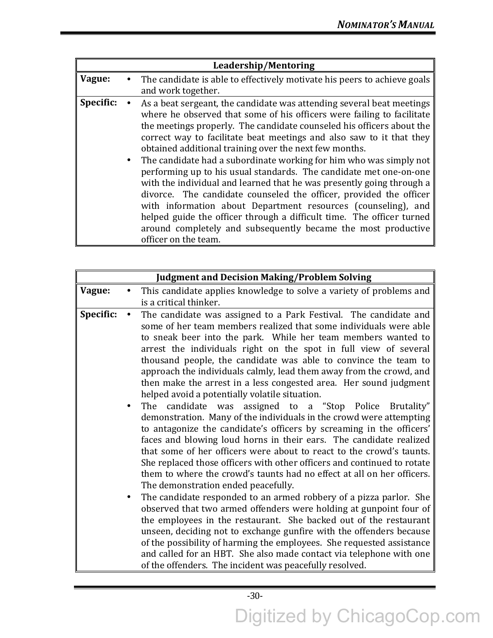|           | Leadership/Mentoring                                                                                                                                                                                                                                                                                                                                                                                                                                                                                                                                                                                                                                                                                                                                                                                                                                                                       |
|-----------|--------------------------------------------------------------------------------------------------------------------------------------------------------------------------------------------------------------------------------------------------------------------------------------------------------------------------------------------------------------------------------------------------------------------------------------------------------------------------------------------------------------------------------------------------------------------------------------------------------------------------------------------------------------------------------------------------------------------------------------------------------------------------------------------------------------------------------------------------------------------------------------------|
| Vague:    | The candidate is able to effectively motivate his peers to achieve goals                                                                                                                                                                                                                                                                                                                                                                                                                                                                                                                                                                                                                                                                                                                                                                                                                   |
|           | and work together.                                                                                                                                                                                                                                                                                                                                                                                                                                                                                                                                                                                                                                                                                                                                                                                                                                                                         |
| Specific: | As a beat sergeant, the candidate was attending several beat meetings<br>where he observed that some of his officers were failing to facilitate<br>the meetings properly. The candidate counseled his officers about the<br>correct way to facilitate beat meetings and also saw to it that they<br>obtained additional training over the next few months.<br>• The candidate had a subordinate working for him who was simply not<br>performing up to his usual standards. The candidate met one-on-one<br>with the individual and learned that he was presently going through a<br>divorce. The candidate counseled the officer, provided the officer<br>with information about Department resources (counseling), and<br>helped guide the officer through a difficult time. The officer turned<br>around completely and subsequently became the most productive<br>officer on the team. |

|           | <b>Judgment and Decision Making/Problem Solving</b>                                                                                                                                                                                                                                                                                                                                                                                                                                                                                                                                                                                                                                                                                                                                                                                                                                                                                                                                                                                                                                                                                                                                                                                                                                                                                                                                                                                                                                                                                                                                                     |
|-----------|---------------------------------------------------------------------------------------------------------------------------------------------------------------------------------------------------------------------------------------------------------------------------------------------------------------------------------------------------------------------------------------------------------------------------------------------------------------------------------------------------------------------------------------------------------------------------------------------------------------------------------------------------------------------------------------------------------------------------------------------------------------------------------------------------------------------------------------------------------------------------------------------------------------------------------------------------------------------------------------------------------------------------------------------------------------------------------------------------------------------------------------------------------------------------------------------------------------------------------------------------------------------------------------------------------------------------------------------------------------------------------------------------------------------------------------------------------------------------------------------------------------------------------------------------------------------------------------------------------|
| Vague:    | This candidate applies knowledge to solve a variety of problems and                                                                                                                                                                                                                                                                                                                                                                                                                                                                                                                                                                                                                                                                                                                                                                                                                                                                                                                                                                                                                                                                                                                                                                                                                                                                                                                                                                                                                                                                                                                                     |
|           | is a critical thinker.                                                                                                                                                                                                                                                                                                                                                                                                                                                                                                                                                                                                                                                                                                                                                                                                                                                                                                                                                                                                                                                                                                                                                                                                                                                                                                                                                                                                                                                                                                                                                                                  |
| Specific: | The candidate was assigned to a Park Festival. The candidate and<br>some of her team members realized that some individuals were able<br>to sneak beer into the park. While her team members wanted to<br>arrest the individuals right on the spot in full view of several<br>thousand people, the candidate was able to convince the team to<br>approach the individuals calmly, lead them away from the crowd, and<br>then make the arrest in a less congested area. Her sound judgment<br>helped avoid a potentially volatile situation.<br>The candidate was assigned to a "Stop Police Brutality"<br>demonstration. Many of the individuals in the crowd were attempting<br>to antagonize the candidate's officers by screaming in the officers'<br>faces and blowing loud horns in their ears. The candidate realized<br>that some of her officers were about to react to the crowd's taunts.<br>She replaced those officers with other officers and continued to rotate<br>them to where the crowd's taunts had no effect at all on her officers.<br>The demonstration ended peacefully.<br>The candidate responded to an armed robbery of a pizza parlor. She<br>٠<br>observed that two armed offenders were holding at gunpoint four of<br>the employees in the restaurant. She backed out of the restaurant<br>unseen, deciding not to exchange gunfire with the offenders because<br>of the possibility of harming the employees. She requested assistance<br>and called for an HBT. She also made contact via telephone with one<br>of the offenders. The incident was peacefully resolved. |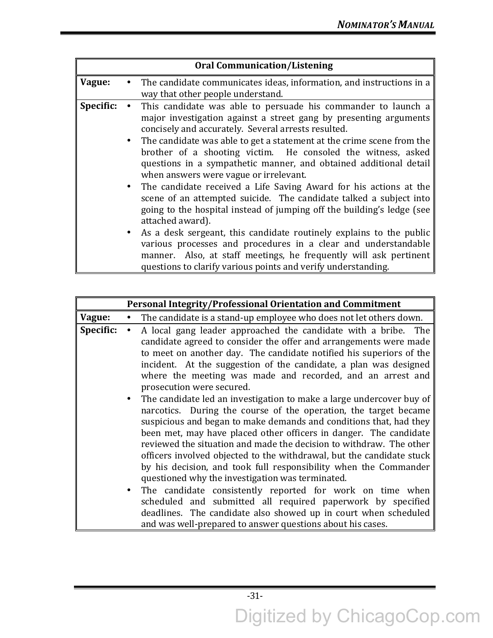|           | <b>Oral Communication/Listening</b>                                                                                                                                                                                                                                                                                                                                                                                                                                                                                                                                                                                                                                                                                                                                                                                                                                                                                                                                             |
|-----------|---------------------------------------------------------------------------------------------------------------------------------------------------------------------------------------------------------------------------------------------------------------------------------------------------------------------------------------------------------------------------------------------------------------------------------------------------------------------------------------------------------------------------------------------------------------------------------------------------------------------------------------------------------------------------------------------------------------------------------------------------------------------------------------------------------------------------------------------------------------------------------------------------------------------------------------------------------------------------------|
| Vague:    | The candidate communicates ideas, information, and instructions in a<br>way that other people understand.                                                                                                                                                                                                                                                                                                                                                                                                                                                                                                                                                                                                                                                                                                                                                                                                                                                                       |
| Specific: | This candidate was able to persuade his commander to launch a<br>major investigation against a street gang by presenting arguments<br>concisely and accurately. Several arrests resulted.<br>• The candidate was able to get a statement at the crime scene from the<br>brother of a shooting victim. He consoled the witness, asked<br>questions in a sympathetic manner, and obtained additional detail<br>when answers were vague or irrelevant.<br>• The candidate received a Life Saving Award for his actions at the<br>scene of an attempted suicide. The candidate talked a subject into<br>going to the hospital instead of jumping off the building's ledge (see<br>attached award).<br>• As a desk sergeant, this candidate routinely explains to the public<br>various processes and procedures in a clear and understandable<br>manner. Also, at staff meetings, he frequently will ask pertinent<br>questions to clarify various points and verify understanding. |

|                        | <b>Personal Integrity/Professional Orientation and Commitment</b>                                                                                                                                                                                                                                                                                                                                                                                                                                                                                                                                                                                                                                                                                                                                                                                                                                                                                                                                                                                                                                                                                                                                      |
|------------------------|--------------------------------------------------------------------------------------------------------------------------------------------------------------------------------------------------------------------------------------------------------------------------------------------------------------------------------------------------------------------------------------------------------------------------------------------------------------------------------------------------------------------------------------------------------------------------------------------------------------------------------------------------------------------------------------------------------------------------------------------------------------------------------------------------------------------------------------------------------------------------------------------------------------------------------------------------------------------------------------------------------------------------------------------------------------------------------------------------------------------------------------------------------------------------------------------------------|
| Vague:                 | The candidate is a stand-up employee who does not let others down.                                                                                                                                                                                                                                                                                                                                                                                                                                                                                                                                                                                                                                                                                                                                                                                                                                                                                                                                                                                                                                                                                                                                     |
| Specific:<br>$\bullet$ | A local gang leader approached the candidate with a bribe. The<br>candidate agreed to consider the offer and arrangements were made<br>to meet on another day. The candidate notified his superiors of the<br>incident. At the suggestion of the candidate, a plan was designed<br>where the meeting was made and recorded, and an arrest and<br>prosecution were secured.<br>The candidate led an investigation to make a large undercover buy of<br>narcotics. During the course of the operation, the target became<br>suspicious and began to make demands and conditions that, had they<br>been met, may have placed other officers in danger. The candidate<br>reviewed the situation and made the decision to withdraw. The other<br>officers involved objected to the withdrawal, but the candidate stuck<br>by his decision, and took full responsibility when the Commander<br>questioned why the investigation was terminated.<br>The candidate consistently reported for work on time when<br>scheduled and submitted all required paperwork by specified<br>deadlines. The candidate also showed up in court when scheduled<br>and was well-prepared to answer questions about his cases. |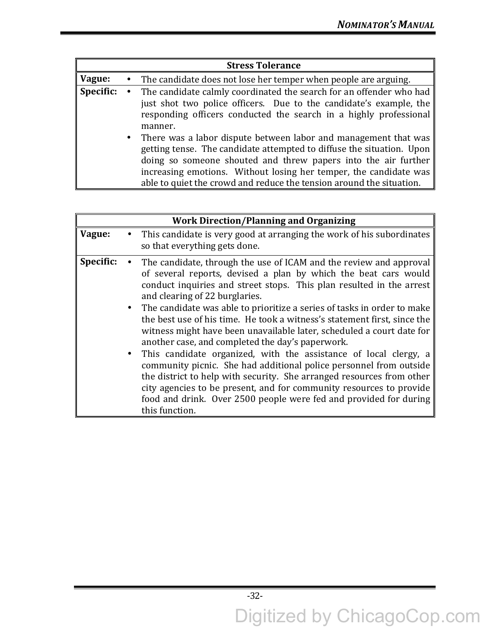|           | <b>Stress Tolerance</b>                                                                                                                                                                                                                                                                                                                                   |
|-----------|-----------------------------------------------------------------------------------------------------------------------------------------------------------------------------------------------------------------------------------------------------------------------------------------------------------------------------------------------------------|
| Vague:    | • The candidate does not lose her temper when people are arguing.                                                                                                                                                                                                                                                                                         |
| Specific: | The candidate calmly coordinated the search for an offender who had<br>just shot two police officers. Due to the candidate's example, the<br>responding officers conducted the search in a highly professional<br>manner.                                                                                                                                 |
|           | • There was a labor dispute between labor and management that was<br>getting tense. The candidate attempted to diffuse the situation. Upon<br>doing so someone shouted and threw papers into the air further<br>increasing emotions. Without losing her temper, the candidate was<br>able to quiet the crowd and reduce the tension around the situation. |

|           | <b>Work Direction/Planning and Organizing</b>                                                                                                                                                                                                                                                                                                                                                                                                                                                                                                                                                                                                                                                                                                                                                                                                                                                                            |
|-----------|--------------------------------------------------------------------------------------------------------------------------------------------------------------------------------------------------------------------------------------------------------------------------------------------------------------------------------------------------------------------------------------------------------------------------------------------------------------------------------------------------------------------------------------------------------------------------------------------------------------------------------------------------------------------------------------------------------------------------------------------------------------------------------------------------------------------------------------------------------------------------------------------------------------------------|
| Vague:    | This candidate is very good at arranging the work of his subordinates<br>so that everything gets done.                                                                                                                                                                                                                                                                                                                                                                                                                                                                                                                                                                                                                                                                                                                                                                                                                   |
| Specific: | The candidate, through the use of ICAM and the review and approval<br>of several reports, devised a plan by which the beat cars would<br>conduct inquiries and street stops. This plan resulted in the arrest<br>and clearing of 22 burglaries.<br>• The candidate was able to prioritize a series of tasks in order to make<br>the best use of his time. He took a witness's statement first, since the<br>witness might have been unavailable later, scheduled a court date for<br>another case, and completed the day's paperwork.<br>• This candidate organized, with the assistance of local clergy, a<br>community picnic. She had additional police personnel from outside<br>the district to help with security. She arranged resources from other<br>city agencies to be present, and for community resources to provide<br>food and drink. Over 2500 people were fed and provided for during<br>this function. |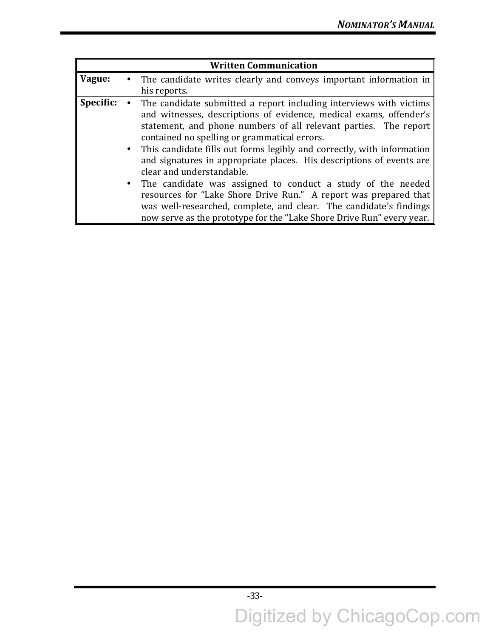|           | <b>Written Communication</b>                                                                                                                                                                                                                                                                                                                                                                                                                                                                                                                                                                                                                                                                                                        |
|-----------|-------------------------------------------------------------------------------------------------------------------------------------------------------------------------------------------------------------------------------------------------------------------------------------------------------------------------------------------------------------------------------------------------------------------------------------------------------------------------------------------------------------------------------------------------------------------------------------------------------------------------------------------------------------------------------------------------------------------------------------|
| Vague:    | • The candidate writes clearly and conveys important information in<br>his reports.                                                                                                                                                                                                                                                                                                                                                                                                                                                                                                                                                                                                                                                 |
| Specific: | • The candidate submitted a report including interviews with victims<br>and witnesses, descriptions of evidence, medical exams, offender's<br>statement, and phone numbers of all relevant parties. The report<br>contained no spelling or grammatical errors.<br>• This candidate fills out forms legibly and correctly, with information<br>and signatures in appropriate places. His descriptions of events are<br>clear and understandable.<br>• The candidate was assigned to conduct a study of the needed<br>resources for "Lake Shore Drive Run." A report was prepared that<br>was well-researched, complete, and clear. The candidate's findings<br>now serve as the prototype for the "Lake Shore Drive Run" every year. |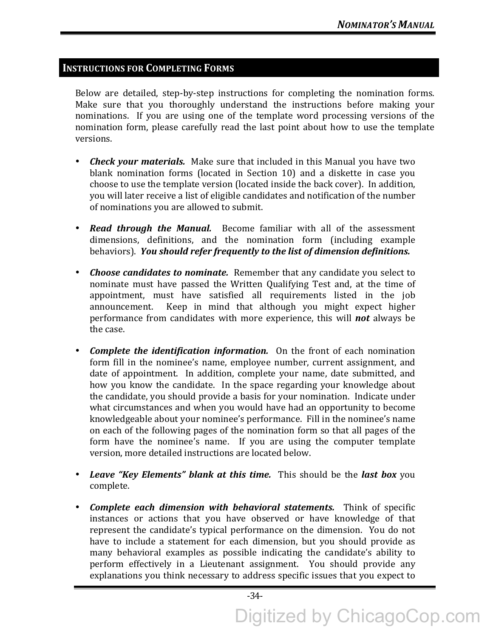# **INSTRUCTIONS FOR COMPLETING FORMS**

Below are detailed, step-by-step instructions for completing the nomination forms. Make sure that you thoroughly understand the instructions before making your nominations. If you are using one of the template word processing versions of the nomination form, please carefully read the last point about how to use the template versions.

- *Check your materials.* Make sure that included in this Manual you have two blank nomination forms (located in Section 10) and a diskette in case you choose to use the template version (located inside the back cover). In addition, you will later receive a list of eligible candidates and notification of the number of nominations you are allowed to submit.
- **Read through the Manual.** Become familiar with all of the assessment dimensions, definitions, and the nomination form (including example behaviors). You should refer frequently to the list of dimension definitions.
- *Choose candidates to nominate.* Remember that any candidate you select to nominate must have passed the Written Qualifying Test and, at the time of appointment, must have satisfied all requirements listed in the job announcement. Keep in mind that although you might expect higher performance from candidates with more experience, this will **not** always be the case.
- *Complete the identification information.* On the front of each nomination form fill in the nominee's name, employee number, current assignment, and date of appointment. In addition, complete your name, date submitted, and how you know the candidate. In the space regarding your knowledge about the candidate, you should provide a basis for your nomination. Indicate under what circumstances and when you would have had an opportunity to become knowledgeable about your nominee's performance. Fill in the nominee's name on each of the following pages of the nomination form so that all pages of the form have the nominee's name. If you are using the computer template version, more detailed instructions are located below.
- Leave "Key Elements" blank at this time. This should be the last box you complete.
- **Complete each dimension with behavioral statements.** Think of specific instances or actions that you have observed or have knowledge of that represent the candidate's typical performance on the dimension. You do not have to include a statement for each dimension, but you should provide as many behavioral examples as possible indicating the candidate's ability to perform effectively in a Lieutenant assignment. You should provide any explanations you think necessary to address specific issues that you expect to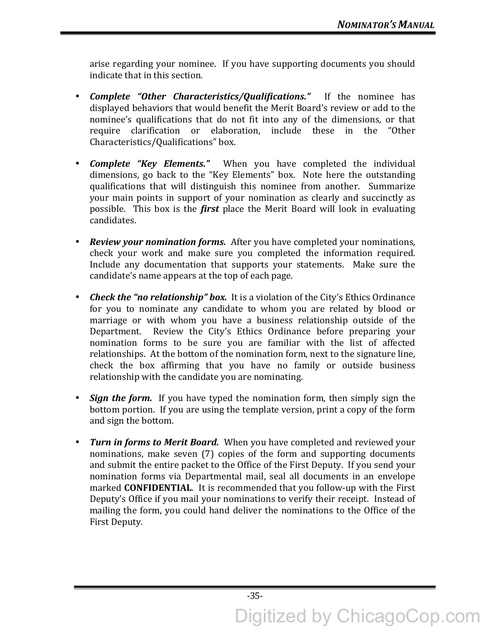arise regarding your nominee. If you have supporting documents you should indicate that in this section.

- *Complete* "Other *Characteristics/Qualifications.*" If the nominee has displayed behaviors that would benefit the Merit Board's review or add to the nominee's qualifications that do not fit into any of the dimensions, or that require clarification or elaboration, include these in the "Other Characteristics/Qualifications" box.
- **Complete "Key Elements."** When you have completed the individual dimensions, go back to the "Key Elements" box. Note here the outstanding qualifications that will distinguish this nominee from another. Summarize your main points in support of your nomination as clearly and succinctly as possible. This box is the *first* place the Merit Board will look in evaluating candidates.
- *Review your nomination forms.* After you have completed your nominations, check your work and make sure you completed the information required. Include any documentation that supports your statements. Make sure the candidate's name appears at the top of each page.
- *Check the "no relationship" box.* It is a violation of the City's Ethics Ordinance for you to nominate any candidate to whom you are related by blood or marriage or with whom you have a business relationship outside of the Department. Review the City's Ethics Ordinance before preparing your nomination forms to be sure you are familiar with the list of affected relationships. At the bottom of the nomination form, next to the signature line, check the box affirming that you have no family or outside business relationship with the candidate you are nominating.
- *Sign the form.* If you have typed the nomination form, then simply sign the bottom portion. If you are using the template version, print a copy of the form and sign the bottom.
- *Turn in forms to Merit Board.* When you have completed and reviewed your nominations, make seven (7) copies of the form and supporting documents and submit the entire packet to the Office of the First Deputy. If you send your nomination forms via Departmental mail, seal all documents in an envelope marked **CONFIDENTIAL**. It is recommended that you follow-up with the First Deputy's Office if you mail your nominations to verify their receipt. Instead of mailing the form, you could hand deliver the nominations to the Office of the First Deputy.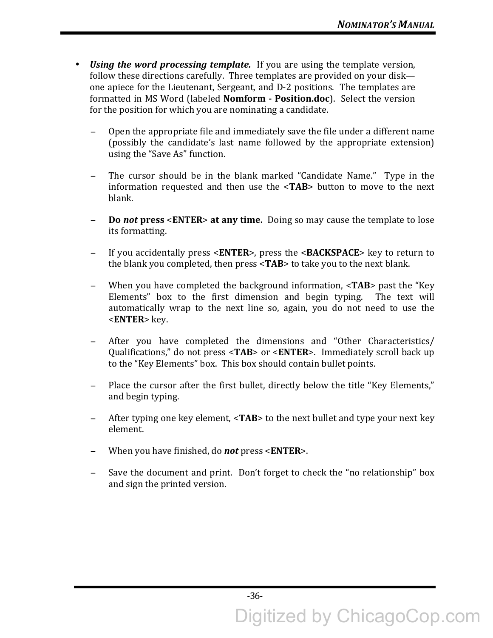- *Using the word processing template.* If you are using the template version, follow these directions carefully. Three templates are provided on your disk one apiece for the Lieutenant, Sergeant, and D-2 positions. The templates are formatted in MS Word (labeled **Nomform - Position.doc**). Select the version for the position for which you are nominating a candidate.
	- Open the appropriate file and immediately save the file under a different name (possibly the candidate's last name followed by the appropriate extension) using the "Save As" function.
	- The cursor should be in the blank marked "Candidate Name." Type in the information requested and then use the <TAB> button to move to the next blank.
	- **Do not press** <**ENTER>** at any time. Doing so may cause the template to lose its formatting.
	- − If you accidentally press <**ENTER**>, press the <**BACKSPACE**> key to return to the blank you completed, then press <TAB> to take you to the next blank.
	- − When you have completed the background information, <**TAB**> past the "Key Elements" box to the first dimension and begin typing. The text will automatically wrap to the next line so, again, you do not need to use the <**ENTER**> key.
	- After you have completed the dimensions and "Other Characteristics/ Qualifications," do not press <**TAB**> or <**ENTER**>. Immediately scroll back up to the "Key Elements" box. This box should contain bullet points.
	- Place the cursor after the first bullet, directly below the title "Key Elements," and begin typing.
	- After typing one key element, <**TAB**> to the next bullet and type your next key element.
	- − When you have finished, do *not* press <**ENTER**>.
	- − Save the document and print. Don't forget to check the "no relationship" box and sign the printed version.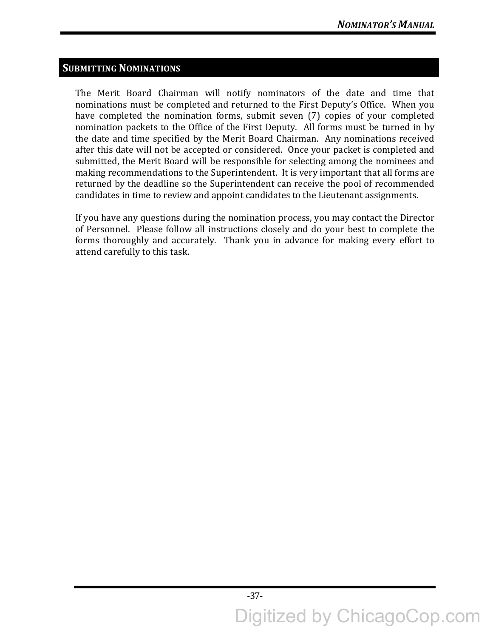# **SUBMITTING NOMINATIONS**

The Merit Board Chairman will notify nominators of the date and time that nominations must be completed and returned to the First Deputy's Office. When you have completed the nomination forms, submit seven (7) copies of your completed nomination packets to the Office of the First Deputy. All forms must be turned in by the date and time specified by the Merit Board Chairman. Any nominations received after this date will not be accepted or considered. Once your packet is completed and submitted, the Merit Board will be responsible for selecting among the nominees and making recommendations to the Superintendent. It is very important that all forms are returned by the deadline so the Superintendent can receive the pool of recommended candidates in time to review and appoint candidates to the Lieutenant assignments.

If you have any questions during the nomination process, you may contact the Director of Personnel. Please follow all instructions closely and do your best to complete the forms thoroughly and accurately. Thank you in advance for making every effort to attend carefully to this task.